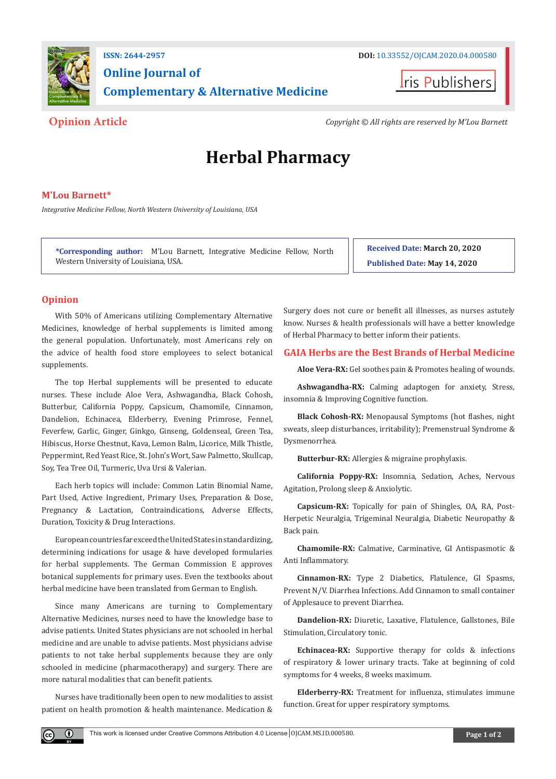

## **Online Journal of Complementary & Alternative Medicine**



**Opinion Article** *Copyright © All rights are reserved by M'Lou Barnett*

# **Herbal Pharmacy**

#### **M'Lou Barnett\***

*Integrative Medicine Fellow, North Western University of Louisiana, USA*

**\*Corresponding author:** M'Lou Barnett, Integrative Medicine Fellow, North Western University of Louisiana, USA.

**Received Date: March 20, 2020 Published Date: May 14, 2020**

### **Opinion**

 $\bf{0}$ 

With 50% of Americans utilizing Complementary Alternative Medicines, knowledge of herbal supplements is limited among the general population. Unfortunately, most Americans rely on the advice of health food store employees to select botanical supplements.

The top Herbal supplements will be presented to educate nurses. These include Aloe Vera, Ashwagandha, Black Cohosh, Butterbur, California Poppy, Capsicum, Chamomile, Cinnamon, Dandelion, Echinacea, Elderberry, Evening Primrose, Fennel, Feverfew, Garlic, Ginger, Ginkgo, Ginseng, Goldenseal, Green Tea, Hibiscus, Horse Chestnut, Kava, Lemon Balm, Licorice, Milk Thistle, Peppermint, Red Yeast Rice, St. John's Wort, Saw Palmetto, Skullcap, Soy, Tea Tree Oil, Turmeric, Uva Ursi & Valerian.

Each herb topics will include: Common Latin Binomial Name, Part Used, Active Ingredient, Primary Uses, Preparation & Dose, Pregnancy & Lactation, Contraindications, Adverse Effects, Duration, Toxicity & Drug Interactions.

European countries far exceed the United States in standardizing, determining indications for usage & have developed formularies for herbal supplements. The German Commission E approves botanical supplements for primary uses. Even the textbooks about herbal medicine have been translated from German to English.

Since many Americans are turning to Complementary Alternative Medicines, nurses need to have the knowledge base to advise patients. United States physicians are not schooled in herbal medicine and are unable to advise patients. Most physicians advise patients to not take herbal supplements because they are only schooled in medicine (pharmacotherapy) and surgery. There are more natural modalities that can benefit patients.

Nurses have traditionally been open to new modalities to assist patient on health promotion & health maintenance. Medication & Surgery does not cure or benefit all illnesses, as nurses astutely know. Nurses & health professionals will have a better knowledge of Herbal Pharmacy to better inform their patients.

#### **GAIA Herbs are the Best Brands of Herbal Medicine**

**Aloe Vera-RX:** Gel soothes pain & Promotes healing of wounds.

**Ashwagandha-RX:** Calming adaptogen for anxiety, Stress, insomnia & Improving Cognitive function.

**Black Cohosh-RX:** Menopausal Symptoms (hot flashes, night sweats, sleep disturbances, irritability); Premenstrual Syndrome & Dysmenorrhea.

**Butterbur-RX:** Allergies & migraine prophylaxis.

**California Poppy-RX:** Insomnia, Sedation, Aches, Nervous Agitation, Prolong sleep & Anxiolytic.

**Capsicum-RX:** Topically for pain of Shingles, OA, RA, Post-Herpetic Neuralgia, Trigeminal Neuralgia, Diabetic Neuropathy & Back pain.

**Chamomile-RX:** Calmative, Carminative, GI Antispasmotic & Anti Inflammatory.

**Cinnamon-RX:** Type 2 Diabetics, Flatulence, GI Spasms, Prevent N/V. Diarrhea Infections. Add Cinnamon to small container of Applesauce to prevent Diarrhea.

**Dandelion-RX:** Diuretic, Laxative, Flatulence, Gallstones, Bile Stimulation, Circulatory tonic.

**Echinacea-RX:** Supportive therapy for colds & infections of respiratory & lower urinary tracts. Take at beginning of cold symptoms for 4 weeks, 8 weeks maximum.

**Elderberry-RX:** Treatment for influenza, stimulates immune function. Great for upper respiratory symptoms.